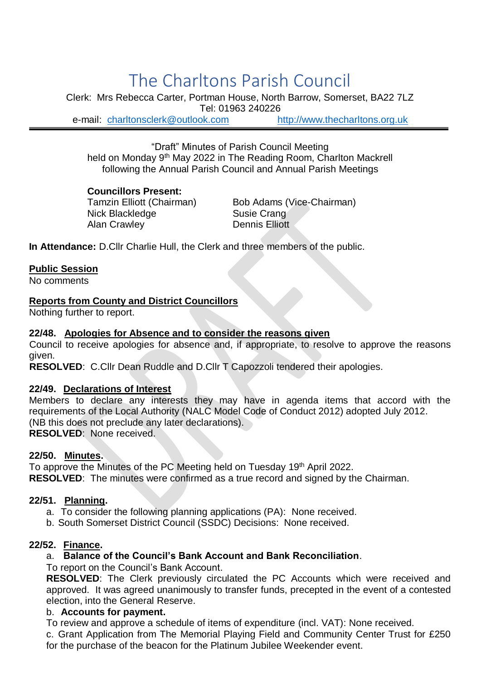# The Charltons Parish Council

Clerk: Mrs Rebecca Carter, Portman House, North Barrow, Somerset, BA22 7LZ Tel: 01963 240226 e-mail: [charltonsclerk@outlook.com](mailto:charltonsclerk@outlook.com) [http://www.thecharltons.org.uk](http://www.thecharltons.org.uk/)

"Draft" Minutes of Parish Council Meeting held on Monday 9<sup>th</sup> May 2022 in The Reading Room, Charlton Mackrell following the Annual Parish Council and Annual Parish Meetings

#### **Councillors Present:**

Nick Blackledge Susie Crang Alan Crawley **Dennis Elliott** 

Tamzin Elliott (Chairman) Bob Adams (Vice-Chairman)

**In Attendance:** D.Cllr Charlie Hull, the Clerk and three members of the public.

#### **Public Session**

No comments

#### **Reports from County and District Councillors**

Nothing further to report.

### **22/48. Apologies for Absence and to consider the reasons given**

Council to receive apologies for absence and, if appropriate, to resolve to approve the reasons given.

**RESOLVED**: C.Cllr Dean Ruddle and D.Cllr T Capozzoli tendered their apologies.

#### **22/49. Declarations of Interest**

Members to declare any interests they may have in agenda items that accord with the requirements of the Local Authority (NALC Model Code of Conduct 2012) adopted July 2012. (NB this does not preclude any later declarations). **RESOLVED**: None received.

**22/50. Minutes.**

To approve the Minutes of the PC Meeting held on Tuesday 19<sup>th</sup> April 2022. **RESOLVED**: The minutes were confirmed as a true record and signed by the Chairman.

#### **22/51. Planning.**

- a. To consider the following planning applications (PA): None received.
- b. South Somerset District Council (SSDC) Decisions: None received.

#### **22/52. Finance.**

# a. **Balance of the Council's Bank Account and Bank Reconciliation**.

To report on the Council's Bank Account.

**RESOLVED**: The Clerk previously circulated the PC Accounts which were received and approved. It was agreed unanimously to transfer funds, precepted in the event of a contested election, into the General Reserve.

#### b. **Accounts for payment.**

To review and approve a schedule of items of expenditure (incl. VAT): None received.

c. Grant Application from The Memorial Playing Field and Community Center Trust for £250 for the purchase of the beacon for the Platinum Jubilee Weekender event.